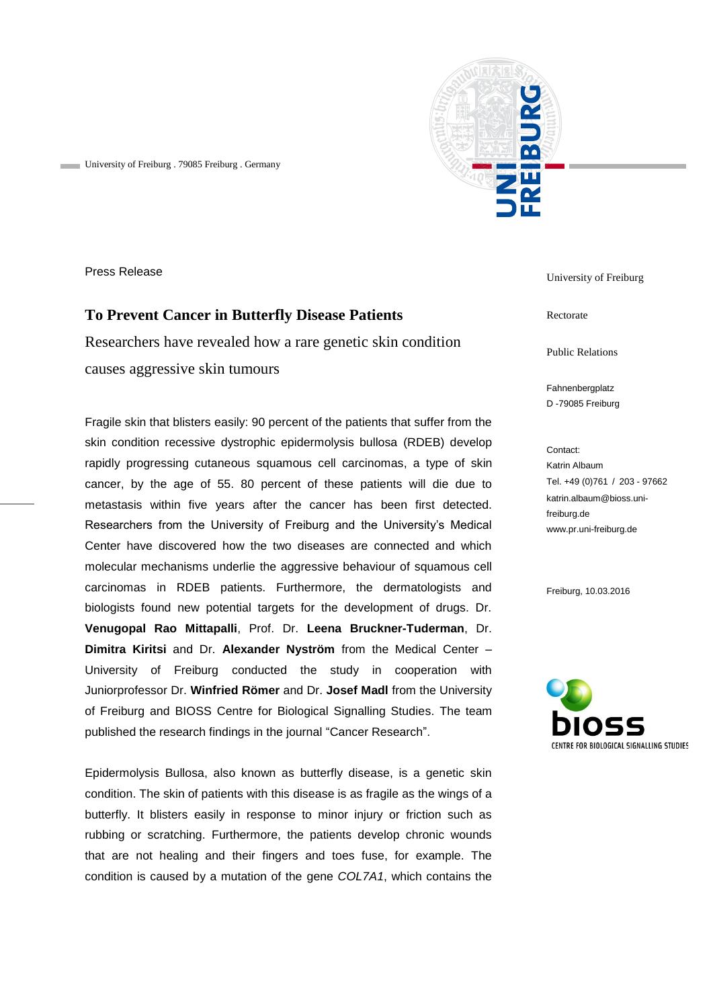

University of Freiburg . 79085 Freiburg . Germany

Press Release

## **To Prevent Cancer in Butterfly Disease Patients**

Researchers have revealed how a rare genetic skin condition causes aggressive skin tumours

Fragile skin that blisters easily: 90 percent of the patients that suffer from the skin condition recessive dystrophic epidermolysis bullosa (RDEB) develop rapidly progressing cutaneous squamous cell carcinomas, a type of skin cancer, by the age of 55. 80 percent of these patients will die due to metastasis within five years after the cancer has been first detected. Researchers from the University of Freiburg and the University's Medical Center have discovered how the two diseases are connected and which molecular mechanisms underlie the aggressive behaviour of squamous cell carcinomas in RDEB patients. Furthermore, the dermatologists and biologists found new potential targets for the development of drugs. Dr. **Venugopal Rao Mittapalli**, Prof. Dr. **Leena Bruckner-Tuderman**, Dr. **Dimitra Kiritsi** and Dr. **Alexander Nyström** from the Medical Center – University of Freiburg conducted the study in cooperation with Juniorprofessor Dr. **Winfried Römer** and Dr. **Josef Madl** from the University of Freiburg and BIOSS Centre for Biological Signalling Studies. The team published the research findings in the journal "Cancer Research".

Epidermolysis Bullosa, also known as butterfly disease, is a genetic skin condition. The skin of patients with this disease is as fragile as the wings of a butterfly. It blisters easily in response to minor injury or friction such as rubbing or scratching. Furthermore, the patients develop chronic wounds that are not healing and their fingers and toes fuse, for example. The condition is caused by a mutation of the gene *COL7A1*, which contains the

University of Freiburg

Rectorate

Public Relations

Fahnenbergplatz D -79085 Freiburg

Contact: Katrin Albaum Tel. +49 (0)761 / 203 - 97662 katrin.albaum@bioss.unifreiburg.de www.pr.uni-freiburg.de

Freiburg, 10.03.2016

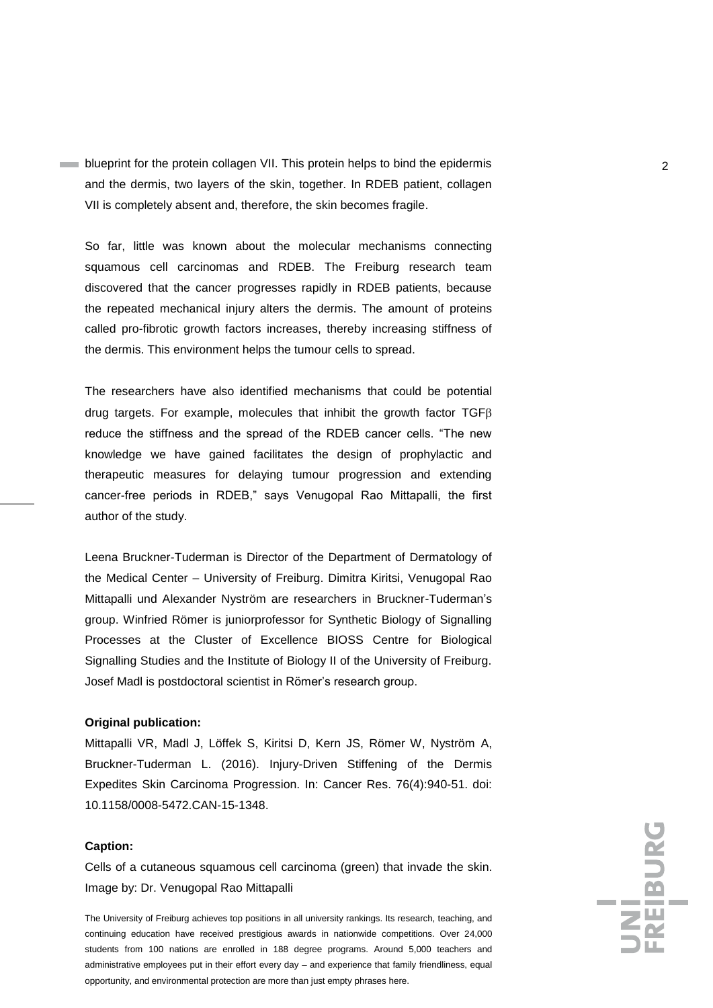**blueprint for the protein collagen VII. This protein helps to bind the epidermis** and the dermis, two layers of the skin, together. In RDEB patient, collagen VII is completely absent and, therefore, the skin becomes fragile.

So far, little was known about the molecular mechanisms connecting squamous cell carcinomas and RDEB. The Freiburg research team discovered that the cancer progresses rapidly in RDEB patients, because the repeated mechanical injury alters the dermis. The amount of proteins called pro-fibrotic growth factors increases, thereby increasing stiffness of the dermis. This environment helps the tumour cells to spread.

The researchers have also identified mechanisms that could be potential drug targets. For example, molecules that inhibit the growth factor  $TGF\beta$ reduce the stiffness and the spread of the RDEB cancer cells. "The new knowledge we have gained facilitates the design of prophylactic and therapeutic measures for delaying tumour progression and extending cancer-free periods in RDEB," says Venugopal Rao Mittapalli, the first author of the study.

Leena Bruckner-Tuderman is Director of the Department of Dermatology of the Medical Center – University of Freiburg. Dimitra Kiritsi, Venugopal Rao Mittapalli und Alexander Nyström are researchers in Bruckner-Tuderman's group. Winfried Römer is juniorprofessor for Synthetic Biology of Signalling Processes at the Cluster of Excellence BIOSS Centre for Biological Signalling Studies and the Institute of Biology II of the University of Freiburg. Josef Madl is postdoctoral scientist in Römer's research group.

## **Original publication:**

Mittapalli VR, Madl J, Löffek S, Kiritsi D, Kern JS, Römer W, Nyström A, Bruckner-Tuderman L. (2016). Injury-Driven Stiffening of the Dermis Expedites Skin Carcinoma Progression. In: Cancer Res. 76(4):940-51. doi: 10.1158/0008-5472.CAN-15-1348.

## **Caption:**

Cells of a cutaneous squamous cell carcinoma (green) that invade the skin. Image by: Dr. Venugopal Rao Mittapalli

The University of Freiburg achieves top positions in all university rankings. Its research, teaching, and continuing education have received prestigious awards in nationwide competitions. Over 24,000 students from 100 nations are enrolled in 188 degree programs. Around 5,000 teachers and administrative employees put in their effort every day – and experience that family friendliness, equal opportunity, and environmental protection are more than just empty phrases here.